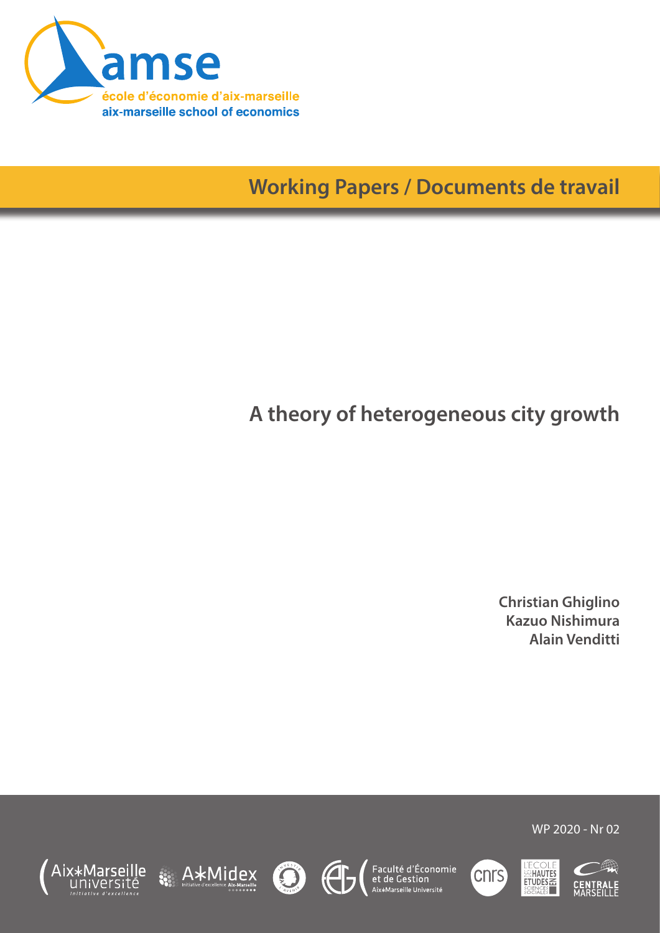

**Working Papers / Documents de travail**

# **A theory of heterogeneous city growth**

**Christian Ghiglino Kazuo Nishimura Alain Venditti**













WP 2020 - Nr 02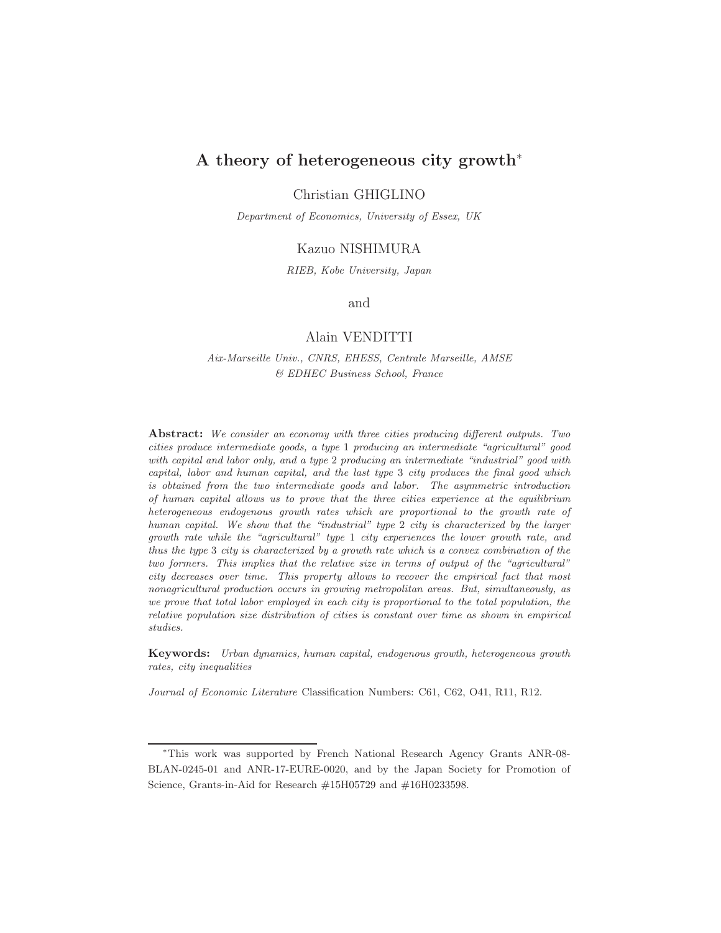## A theory of heterogeneous city growth<sup>∗</sup>

Christian GHIGLINO

Department of Economics, University of Essex, UK

#### Kazuo NISHIMURA

RIEB, Kobe University, Japan

#### and

#### Alain VENDITTI

Aix-Marseille Univ., CNRS, EHESS, Centrale Marseille, AMSE & EDHEC Business School, France

Abstract: We consider an economy with three cities producing different outputs. Two cities produce intermediate goods, a type 1 producing an intermediate "agricultural" good with capital and labor only, and a type 2 producing an intermediate "industrial" good with capital, labor and human capital, and the last type 3 city produces the final good which is obtained from the two intermediate goods and labor. The asymmetric introduction of human capital allows us to prove that the three cities experience at the equilibrium heterogeneous endogenous growth rates which are proportional to the growth rate of human capital. We show that the "industrial" type 2 city is characterized by the larger growth rate while the "agricultural" type 1 city experiences the lower growth rate, and thus the type 3 city is characterized by a growth rate which is a convex combination of the two formers. This implies that the relative size in terms of output of the "agricultural" city decreases over time. This property allows to recover the empirical fact that most nonagricultural production occurs in growing metropolitan areas. But, simultaneously, as we prove that total labor employed in each city is proportional to the total population, the relative population size distribution of cities is constant over time as shown in empirical studies.

Keywords: Urban dynamics, human capital, endogenous growth, heterogeneous growth rates, city inequalities

Journal of Economic Literature Classification Numbers: C61, C62, O41, R11, R12.

<sup>∗</sup>This work was supported by French National Research Agency Grants ANR-08- BLAN-0245-01 and ANR-17-EURE-0020, and by the Japan Society for Promotion of Science, Grants-in-Aid for Research #15H05729 and #16H0233598.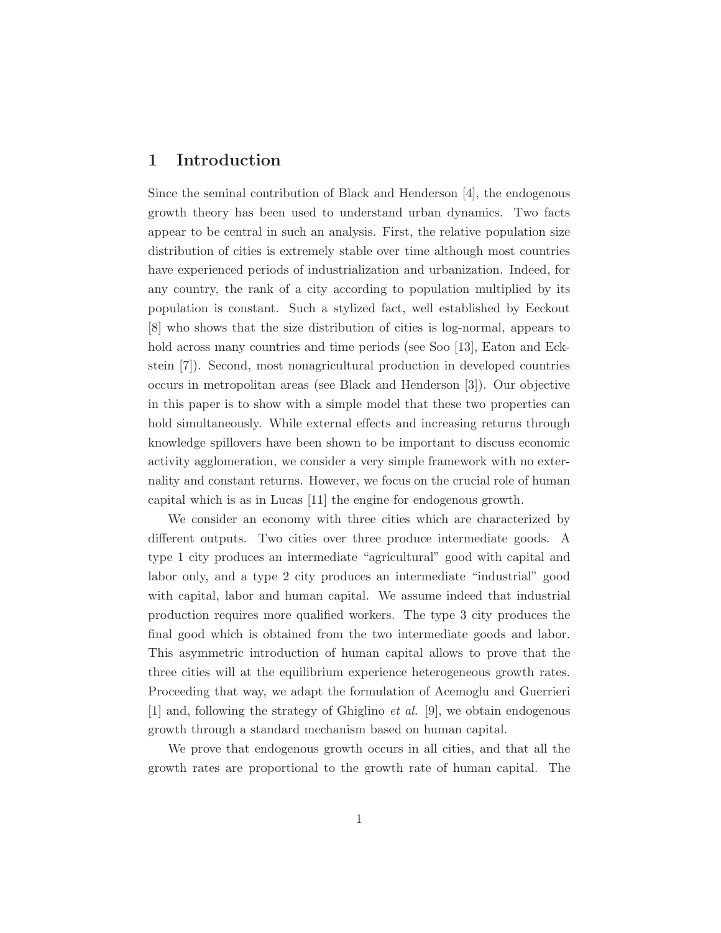## 1 Introduction

Since the seminal contribution of Black and Henderson [4], the endogenous growth theory has been used to understand urban dynamics. Two facts appear to be central in such an analysis. First, the relative population size distribution of cities is extremely stable over time although most countries have experienced periods of industrialization and urbanization. Indeed, for any country, the rank of a city according to population multiplied by its population is constant. Such a stylized fact, well established by Eeckout [8] who shows that the size distribution of cities is log-normal, appears to hold across many countries and time periods (see Soo [13], Eaton and Eckstein [7]). Second, most nonagricultural production in developed countries occurs in metropolitan areas (see Black and Henderson [3]). Our objective in this paper is to show with a simple model that these two properties can hold simultaneously. While external effects and increasing returns through knowledge spillovers have been shown to be important to discuss economic activity agglomeration, we consider a very simple framework with no externality and constant returns. However, we focus on the crucial role of human capital which is as in Lucas [11] the engine for endogenous growth.

We consider an economy with three cities which are characterized by different outputs. Two cities over three produce intermediate goods. A type 1 city produces an intermediate "agricultural" good with capital and labor only, and a type 2 city produces an intermediate "industrial" good with capital, labor and human capital. We assume indeed that industrial production requires more qualified workers. The type 3 city produces the final good which is obtained from the two intermediate goods and labor. This asymmetric introduction of human capital allows to prove that the three cities will at the equilibrium experience heterogeneous growth rates. Proceeding that way, we adapt the formulation of Acemoglu and Guerrieri [1] and, following the strategy of Ghiglino *et al.* [9], we obtain endogenous growth through a standard mechanism based on human capital.

We prove that endogenous growth occurs in all cities, and that all the growth rates are proportional to the growth rate of human capital. The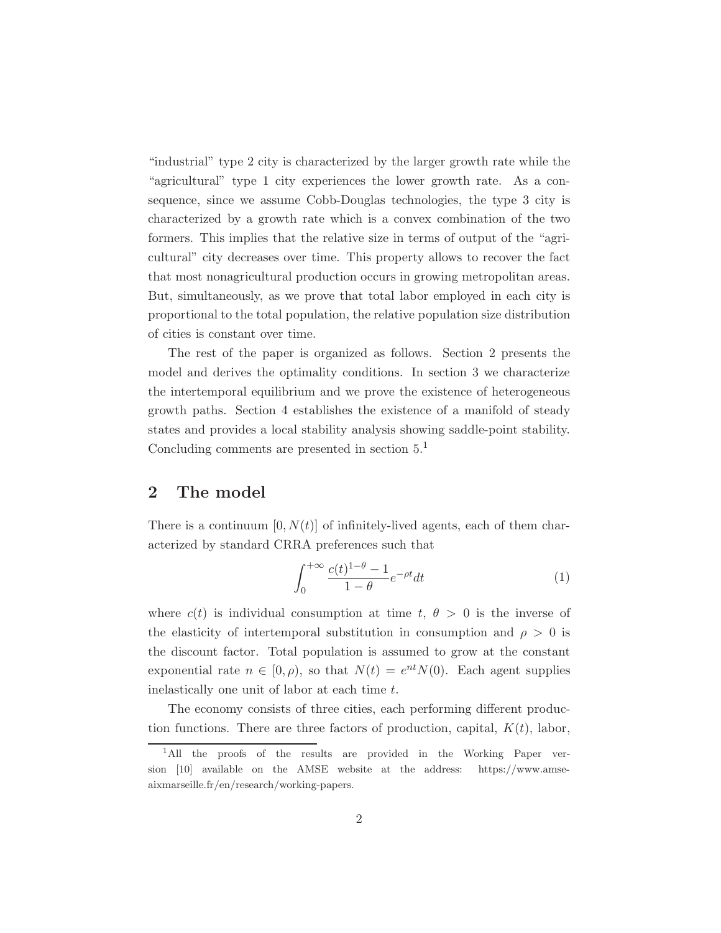"industrial" type 2 city is characterized by the larger growth rate while the "agricultural" type 1 city experiences the lower growth rate. As a consequence, since we assume Cobb-Douglas technologies, the type 3 city is characterized by a growth rate which is a convex combination of the two formers. This implies that the relative size in terms of output of the "agricultural" city decreases over time. This property allows to recover the fact that most nonagricultural production occurs in growing metropolitan areas. But, simultaneously, as we prove that total labor employed in each city is proportional to the total population, the relative population size distribution of cities is constant over time.

The rest of the paper is organized as follows. Section 2 presents the model and derives the optimality conditions. In section 3 we characterize the intertemporal equilibrium and we prove the existence of heterogeneous growth paths. Section 4 establishes the existence of a manifold of steady states and provides a local stability analysis showing saddle-point stability. Concluding comments are presented in section  $5<sup>1</sup>$ 

## 2 The model

There is a continuum  $[0, N(t)]$  of infinitely-lived agents, each of them characterized by standard CRRA preferences such that

$$
\int_0^{+\infty} \frac{c(t)^{1-\theta} - 1}{1-\theta} e^{-\rho t} dt \tag{1}
$$

where  $c(t)$  is individual consumption at time  $t, \theta > 0$  is the inverse of the elasticity of intertemporal substitution in consumption and  $\rho > 0$  is the discount factor. Total population is assumed to grow at the constant exponential rate  $n \in [0, \rho)$ , so that  $N(t) = e^{nt} N(0)$ . Each agent supplies inelastically one unit of labor at each time t.

The economy consists of three cities, each performing different production functions. There are three factors of production, capital,  $K(t)$ , labor,

<sup>&</sup>lt;sup>1</sup>All the proofs of the results are provided in the Working Paper version [10] available on the AMSE website at the address: https://www.amseaixmarseille.fr/en/research/working-papers.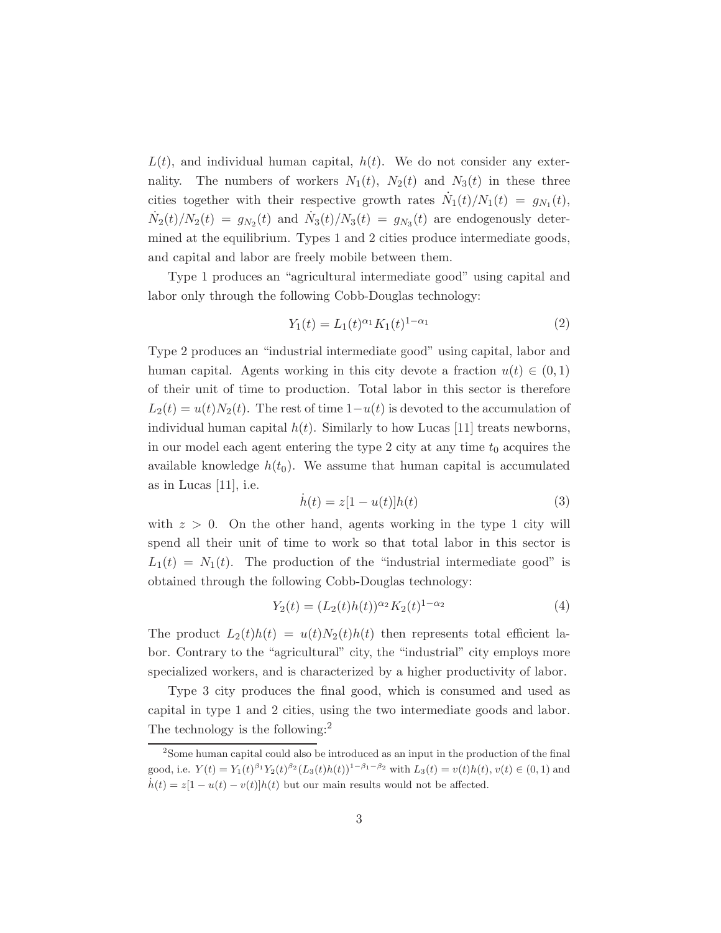$L(t)$ , and individual human capital,  $h(t)$ . We do not consider any externality. The numbers of workers  $N_1(t)$ ,  $N_2(t)$  and  $N_3(t)$  in these three cities together with their respective growth rates  $\dot{N}_1(t)/N_1(t) = g_{N_1}(t)$ ,  $\dot{N}_2(t)/N_2(t) = g_{N_2}(t)$  and  $\dot{N}_3(t)/N_3(t) = g_{N_3}(t)$  are endogenously determined at the equilibrium. Types 1 and 2 cities produce intermediate goods, and capital and labor are freely mobile between them.

Type 1 produces an "agricultural intermediate good" using capital and labor only through the following Cobb-Douglas technology:

$$
Y_1(t) = L_1(t)^{\alpha_1} K_1(t)^{1-\alpha_1} \tag{2}
$$

Type 2 produces an "industrial intermediate good" using capital, labor and human capital. Agents working in this city devote a fraction  $u(t) \in (0,1)$ of their unit of time to production. Total labor in this sector is therefore  $L_2(t) = u(t)N_2(t)$ . The rest of time  $1-u(t)$  is devoted to the accumulation of individual human capital  $h(t)$ . Similarly to how Lucas [11] treats newborns, in our model each agent entering the type 2 city at any time  $t_0$  acquires the available knowledge  $h(t_0)$ . We assume that human capital is accumulated as in Lucas [11], i.e.

$$
\dot{h}(t) = z[1 - u(t)]h(t) \tag{3}
$$

with  $z > 0$ . On the other hand, agents working in the type 1 city will spend all their unit of time to work so that total labor in this sector is  $L_1(t) = N_1(t)$ . The production of the "industrial intermediate good" is obtained through the following Cobb-Douglas technology:

$$
Y_2(t) = (L_2(t)h(t))^{\alpha_2} K_2(t)^{1-\alpha_2} \tag{4}
$$

The product  $L_2(t)h(t) = u(t)N_2(t)h(t)$  then represents total efficient labor. Contrary to the "agricultural" city, the "industrial" city employs more specialized workers, and is characterized by a higher productivity of labor.

Type 3 city produces the final good, which is consumed and used as capital in type 1 and 2 cities, using the two intermediate goods and labor. The technology is the following:<sup>2</sup>

<sup>&</sup>lt;sup>2</sup>Some human capital could also be introduced as an input in the production of the final good, i.e.  $Y(t) = Y_1(t)^{\beta_1} Y_2(t)^{\beta_2} (L_3(t)h(t))^{1-\beta_1-\beta_2}$  with  $L_3(t) = v(t)h(t), v(t) \in (0, 1)$  and  $\dot{h}(t) = z[1 - u(t) - v(t)]h(t)$  but our main results would not be affected.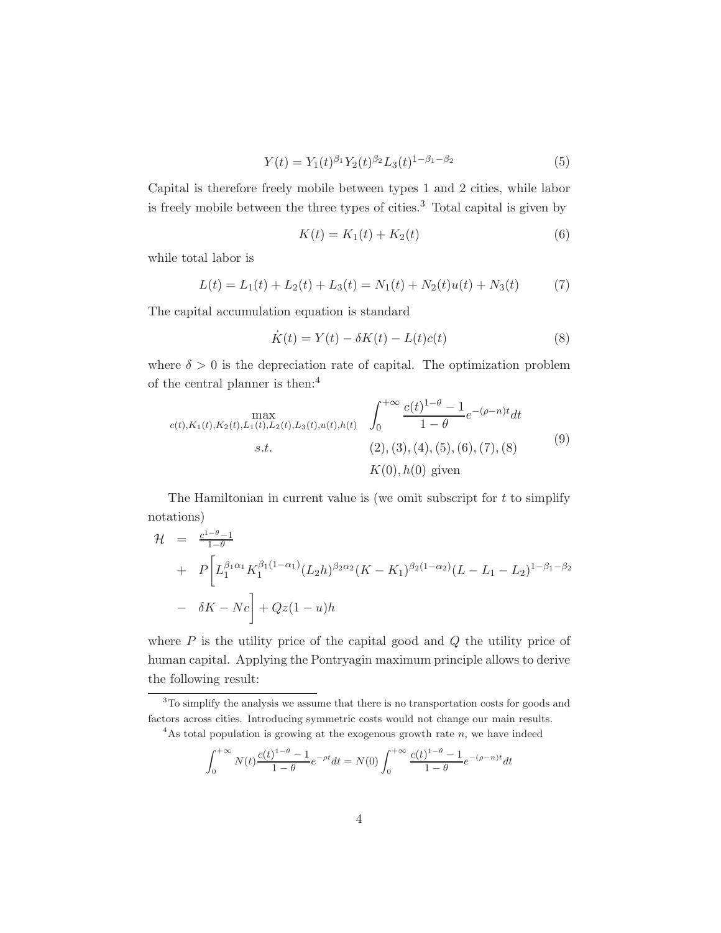$$
Y(t) = Y_1(t)^{\beta_1} Y_2(t)^{\beta_2} L_3(t)^{1-\beta_1-\beta_2}
$$
\n(5)

Capital is therefore freely mobile between types 1 and 2 cities, while labor is freely mobile between the three types of cities.<sup>3</sup> Total capital is given by

$$
K(t) = K_1(t) + K_2(t)
$$
\n(6)

while total labor is

$$
L(t) = L_1(t) + L_2(t) + L_3(t) = N_1(t) + N_2(t)u(t) + N_3(t)
$$
\n(7)

The capital accumulation equation is standard

$$
\dot{K}(t) = Y(t) - \delta K(t) - L(t)c(t)
$$
\n(8)

where  $\delta > 0$  is the depreciation rate of capital. The optimization problem of the central planner is then:<sup>4</sup>

$$
\max_{c(t), K_1(t), K_2(t), L_1(t), L_2(t), L_3(t), u(t), h(t)} \quad \int_0^{+\infty} \frac{c(t)^{1-\theta} - 1}{1-\theta} e^{-(\rho - n)t} dt
$$
  
s.t. (2), (3), (4), (5), (6), (7), (8)  

$$
K(0), h(0) \text{ given}
$$
 (9)

The Hamiltonian in current value is (we omit subscript for  $t$  to simplify notations)

$$
\mathcal{H} = \frac{c^{1-\theta}-1}{1-\theta} \n+ P\bigg[L_1^{\beta_1\alpha_1}K_1^{\beta_1(1-\alpha_1)}(L_2h)^{\beta_2\alpha_2}(K-K_1)^{\beta_2(1-\alpha_2)}(L-L_1-L_2)^{1-\beta_1-\beta_2} \n- \delta K - Nc\bigg] + Qz(1-u)h
$$

where  $P$  is the utility price of the capital good and  $Q$  the utility price of human capital. Applying the Pontryagin maximum principle allows to derive the following result:

$$
\int_0^{+\infty} N(t) \frac{c(t)^{1-\theta} - 1}{1-\theta} e^{-\rho t} dt = N(0) \int_0^{+\infty} \frac{c(t)^{1-\theta} - 1}{1-\theta} e^{-(\rho - n)t} dt
$$

<sup>&</sup>lt;sup>3</sup>To simplify the analysis we assume that there is no transportation costs for goods and factors across cities. Introducing symmetric costs would not change our main results.

<sup>&</sup>lt;sup>4</sup>As total population is growing at the exogenous growth rate  $n$ , we have indeed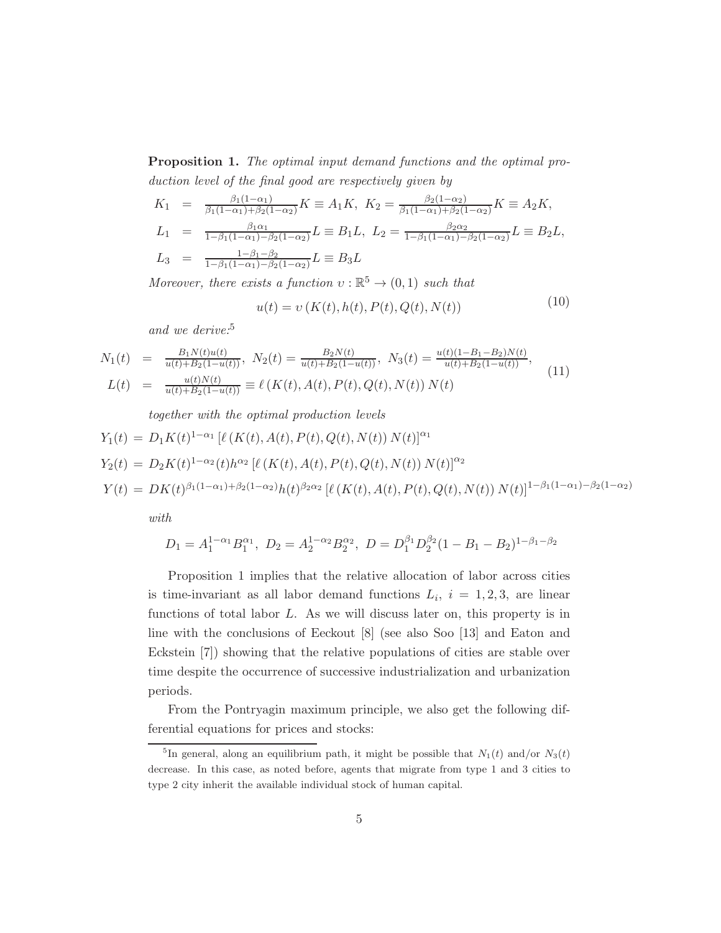Proposition 1. The optimal input demand functions and the optimal production level of the final good are respectively given by

$$
K_1 = \frac{\beta_1(1-\alpha_1)}{\beta_1(1-\alpha_1)+\beta_2(1-\alpha_2)} K \equiv A_1 K, \ K_2 = \frac{\beta_2(1-\alpha_2)}{\beta_1(1-\alpha_1)+\beta_2(1-\alpha_2)} K \equiv A_2 K,
$$
  
\n
$$
L_1 = \frac{\beta_1 \alpha_1}{1-\beta_1(1-\alpha_1)-\beta_2(1-\alpha_2)} L \equiv B_1 L, \ L_2 = \frac{\beta_2 \alpha_2}{1-\beta_1(1-\alpha_1)-\beta_2(1-\alpha_2)} L \equiv B_2 L,
$$
  
\n
$$
L_3 = \frac{1-\beta_1-\beta_2}{1-\beta_1(1-\alpha_1)-\beta_2(1-\alpha_2)} L \equiv B_3 L
$$

Moreover, there exists a function  $v : \mathbb{R}^5 \to (0,1)$  such that

$$
u(t) = v(K(t), h(t), P(t), Q(t), N(t))
$$
\n(10)

and we derive:<sup>5</sup>

$$
N_1(t) = \frac{B_1 N(t)u(t)}{u(t) + B_2(1 - u(t))}, \ N_2(t) = \frac{B_2 N(t)}{u(t) + B_2(1 - u(t))}, \ N_3(t) = \frac{u(t)(1 - B_1 - B_2)N(t)}{u(t) + B_2(1 - u(t))},
$$
  
\n
$$
L(t) = \frac{u(t)N(t)}{u(t) + B_2(1 - u(t))} \equiv \ell(K(t), A(t), P(t), Q(t), N(t)) N(t)
$$
\n(11)

together with the optimal production levels  
\n
$$
Y_1(t) = D_1 K(t)^{1-\alpha_1} [\ell(K(t), A(t), P(t), Q(t), N(t)) N(t)]^{\alpha_1}
$$
\n
$$
Y_2(t) = D_2 K(t)^{1-\alpha_2}(t) h^{\alpha_2} [\ell(K(t), A(t), P(t), Q(t), N(t)) N(t)]^{\alpha_2}
$$
\n
$$
Y(t) = DK(t)^{\beta_1(1-\alpha_1)+\beta_2(1-\alpha_2)} h(t)^{\beta_2\alpha_2} [\ell(K(t), A(t), P(t), Q(t), N(t)) N(t)]^{1-\beta_1(1-\alpha_1)-\beta_2(1-\alpha_2)}
$$
\nwith

$$
D_1 = A_1^{1-\alpha_1} B_1^{\alpha_1}, \ D_2 = A_2^{1-\alpha_2} B_2^{\alpha_2}, \ D = D_1^{\beta_1} D_2^{\beta_2} (1 - B_1 - B_2)^{1-\beta_1-\beta_2}
$$

Proposition 1 implies that the relative allocation of labor across cities is time-invariant as all labor demand functions  $L_i$ ,  $i = 1, 2, 3$ , are linear functions of total labor L. As we will discuss later on, this property is in line with the conclusions of Eeckout [8] (see also Soo [13] and Eaton and Eckstein [7]) showing that the relative populations of cities are stable over time despite the occurrence of successive industrialization and urbanization periods.

From the Pontryagin maximum principle, we also get the following differential equations for prices and stocks:

<sup>&</sup>lt;sup>5</sup>In general, along an equilibrium path, it might be possible that  $N_1(t)$  and/or  $N_3(t)$ decrease. In this case, as noted before, agents that migrate from type 1 and 3 cities to type 2 city inherit the available individual stock of human capital.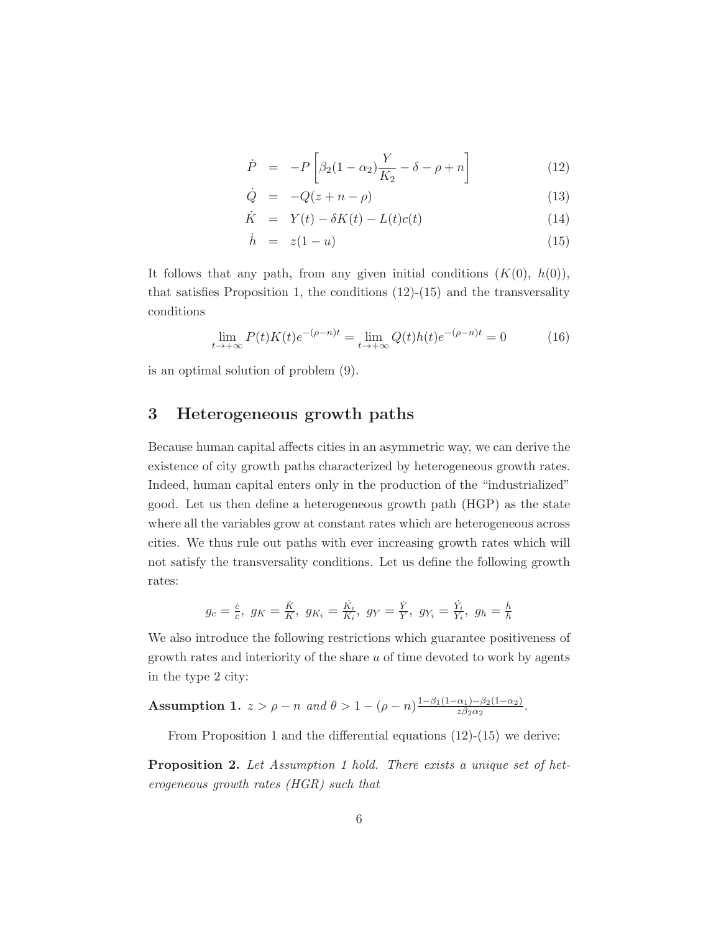$$
\dot{P} = -P\left[\beta_2(1-\alpha_2)\frac{Y}{K_2} - \delta - \rho + n\right]
$$
\n(12)

$$
\dot{Q} = -Q(z + n - \rho) \tag{13}
$$

$$
\dot{K} = Y(t) - \delta K(t) - L(t)c(t) \tag{14}
$$

$$
\dot{h} = z(1 - u) \tag{15}
$$

It follows that any path, from any given initial conditions  $(K(0), h(0)),$ that satisfies Proposition 1, the conditions  $(12)-(15)$  and the transversality conditions

$$
\lim_{t \to +\infty} P(t)K(t)e^{-(\rho - n)t} = \lim_{t \to +\infty} Q(t)h(t)e^{-(\rho - n)t} = 0
$$
 (16)

is an optimal solution of problem (9).

#### 3 Heterogeneous growth paths

Because human capital affects cities in an asymmetric way, we can derive the existence of city growth paths characterized by heterogeneous growth rates. Indeed, human capital enters only in the production of the "industrialized" good. Let us then define a heterogeneous growth path (HGP) as the state where all the variables grow at constant rates which are heterogeneous across cities. We thus rule out paths with ever increasing growth rates which will not satisfy the transversality conditions. Let us define the following growth rates:

$$
g_c = \frac{\dot{c}}{c}
$$
,  $g_K = \frac{\dot{K}}{K}$ ,  $g_{K_i} = \frac{\dot{K}_i}{K_i}$ ,  $g_Y = \frac{\dot{Y}}{Y}$ ,  $g_{Y_i} = \frac{\dot{Y}_i}{Y_i}$ ,  $g_h = \frac{\dot{h}}{h}$ 

We also introduce the following restrictions which guarantee positiveness of growth rates and interiority of the share  $u$  of time devoted to work by agents in the type 2 city:

Assumption 1.  $z > \rho - n$  and  $\theta > 1 - (\rho - n) \frac{1 - \beta_1 (1 - \alpha_1) - \beta_2 (1 - \alpha_2)}{z \beta_0 \alpha_2}$  $\frac{\alpha_1 - \beta_2(1-\alpha_2)}{z\beta_2\alpha_2}.$ 

From Proposition 1 and the differential equations  $(12)-(15)$  we derive:

Proposition 2. Let Assumption 1 hold. There exists a unique set of heterogeneous growth rates (HGR) such that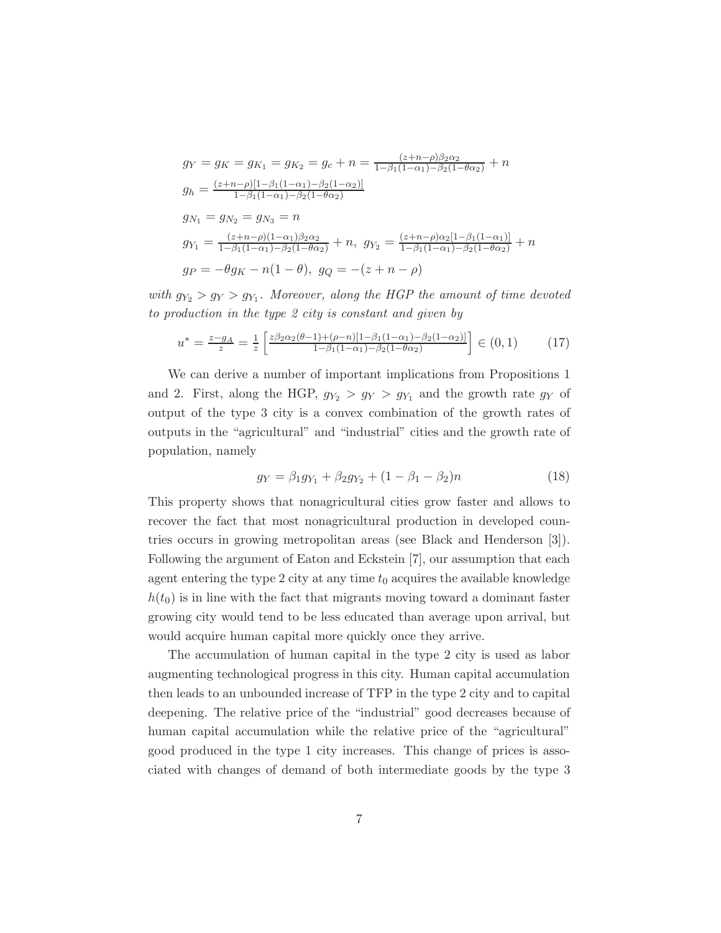$$
g_Y = g_K = g_{K_1} = g_{K_2} = g_c + n = \frac{(z + n - \rho)\beta_2\alpha_2}{1 - \beta_1(1 - \alpha_1) - \beta_2(1 - \theta\alpha_2)} + n
$$
  
\n
$$
g_h = \frac{(z + n - \rho)[1 - \beta_1(1 - \alpha_1) - \beta_2(1 - \alpha_2)]}{1 - \beta_1(1 - \alpha_1) - \beta_2(1 - \theta\alpha_2)}
$$
  
\n
$$
g_{N_1} = g_{N_2} = g_{N_3} = n
$$
  
\n
$$
g_{Y_1} = \frac{(z + n - \rho)(1 - \alpha_1)\beta_2\alpha_2}{1 - \beta_1(1 - \alpha_1) - \beta_2(1 - \theta\alpha_2)} + n, \ g_{Y_2} = \frac{(z + n - \rho)\alpha_2[1 - \beta_1(1 - \alpha_1)]}{1 - \beta_1(1 - \alpha_1) - \beta_2(1 - \theta\alpha_2)} + n
$$
  
\n
$$
g_P = -\theta g_K - n(1 - \theta), \ g_Q = -(z + n - \rho)
$$

with  $g_{Y_2} > g_Y > g_{Y_1}$ . Moreover, along the HGP the amount of time devoted to production in the type 2 city is constant and given by

$$
u^* = \frac{z - g_A}{z} = \frac{1}{z} \left[ \frac{z\beta_2\alpha_2(\theta - 1) + (\rho - n)[1 - \beta_1(1 - \alpha_1) - \beta_2(1 - \alpha_2)]}{1 - \beta_1(1 - \alpha_1) - \beta_2(1 - \theta\alpha_2)} \right] \in (0, 1)
$$
 (17)

We can derive a number of important implications from Propositions 1 and 2. First, along the HGP,  $g_{Y_2} > g_Y > g_{Y_1}$  and the growth rate  $g_Y$  of output of the type 3 city is a convex combination of the growth rates of outputs in the "agricultural" and "industrial" cities and the growth rate of population, namely

$$
g_Y = \beta_1 g_{Y_1} + \beta_2 g_{Y_2} + (1 - \beta_1 - \beta_2)n \tag{18}
$$

This property shows that nonagricultural cities grow faster and allows to recover the fact that most nonagricultural production in developed countries occurs in growing metropolitan areas (see Black and Henderson [3]). Following the argument of Eaton and Eckstein [7], our assumption that each agent entering the type 2 city at any time  $t_0$  acquires the available knowledge  $h(t_0)$  is in line with the fact that migrants moving toward a dominant faster growing city would tend to be less educated than average upon arrival, but would acquire human capital more quickly once they arrive.

The accumulation of human capital in the type 2 city is used as labor augmenting technological progress in this city. Human capital accumulation then leads to an unbounded increase of TFP in the type 2 city and to capital deepening. The relative price of the "industrial" good decreases because of human capital accumulation while the relative price of the "agricultural" good produced in the type 1 city increases. This change of prices is associated with changes of demand of both intermediate goods by the type 3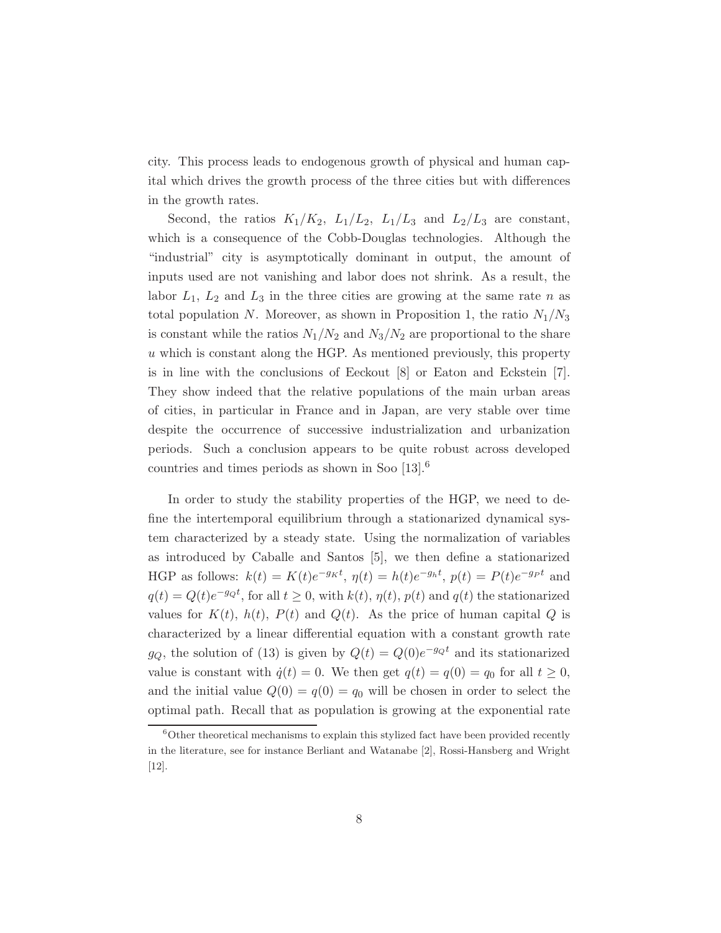city. This process leads to endogenous growth of physical and human capital which drives the growth process of the three cities but with differences in the growth rates.

Second, the ratios  $K_1/K_2$ ,  $L_1/L_2$ ,  $L_1/L_3$  and  $L_2/L_3$  are constant, which is a consequence of the Cobb-Douglas technologies. Although the "industrial" city is asymptotically dominant in output, the amount of inputs used are not vanishing and labor does not shrink. As a result, the labor  $L_1$ ,  $L_2$  and  $L_3$  in the three cities are growing at the same rate n as total population N. Moreover, as shown in Proposition 1, the ratio  $N_1/N_3$ is constant while the ratios  $N_1/N_2$  and  $N_3/N_2$  are proportional to the share  $u$  which is constant along the HGP. As mentioned previously, this property is in line with the conclusions of Eeckout [8] or Eaton and Eckstein [7]. They show indeed that the relative populations of the main urban areas of cities, in particular in France and in Japan, are very stable over time despite the occurrence of successive industrialization and urbanization periods. Such a conclusion appears to be quite robust across developed countries and times periods as shown in Soo [13].<sup>6</sup>

In order to study the stability properties of the HGP, we need to define the intertemporal equilibrium through a stationarized dynamical system characterized by a steady state. Using the normalization of variables as introduced by Caballe and Santos [5], we then define a stationarized HGP as follows:  $k(t) = K(t)e^{-g_Kt}$ ,  $\eta(t) = h(t)e^{-g_ht}$ ,  $p(t) = P(t)e^{-g_Pt}$  and  $q(t) = Q(t)e^{-gQt}$ , for all  $t \ge 0$ , with  $k(t)$ ,  $\eta(t)$ ,  $p(t)$  and  $q(t)$  the stationarized values for  $K(t)$ ,  $h(t)$ ,  $P(t)$  and  $Q(t)$ . As the price of human capital Q is characterized by a linear differential equation with a constant growth rate  $g_Q$ , the solution of (13) is given by  $Q(t) = Q(0)e^{-g_Q t}$  and its stationarized value is constant with  $\dot{q}(t) = 0$ . We then get  $q(t) = q(0) = q_0$  for all  $t \geq 0$ , and the initial value  $Q(0) = q(0) = q_0$  will be chosen in order to select the optimal path. Recall that as population is growing at the exponential rate

 $6$ Other theoretical mechanisms to explain this stylized fact have been provided recently in the literature, see for instance Berliant and Watanabe [2], Rossi-Hansberg and Wright [12].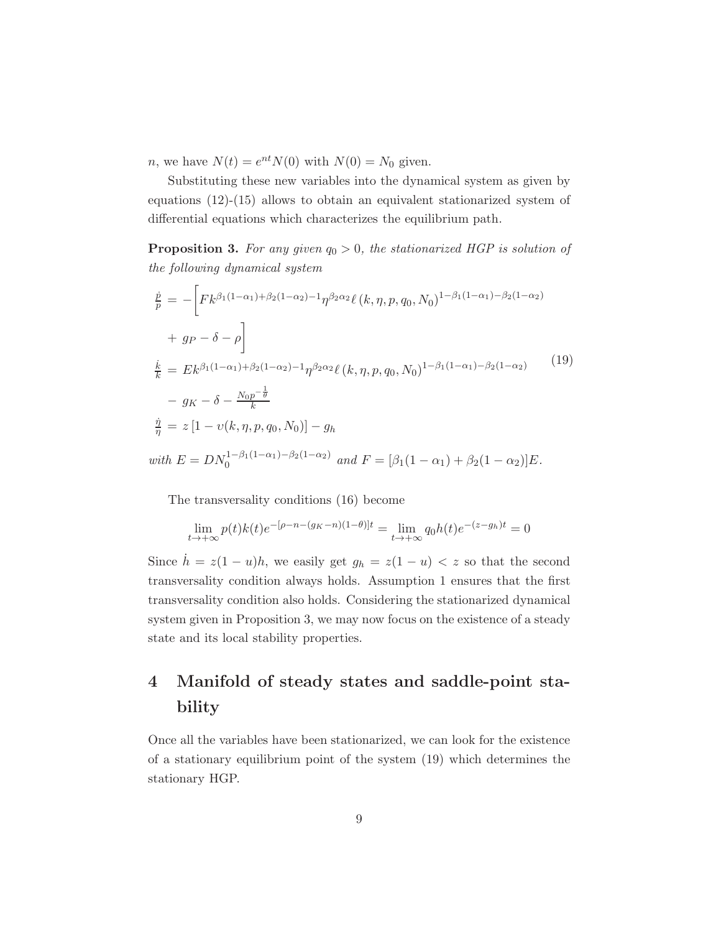*n*, we have  $N(t) = e^{nt} N(0)$  with  $N(0) = N_0$  given.

Substituting these new variables into the dynamical system as given by equations (12)-(15) allows to obtain an equivalent stationarized system of differential equations which characterizes the equilibrium path.

**Proposition 3.** For any given  $q_0 > 0$ , the stationarized HGP is solution of the following dynamical system

$$
\frac{\dot{p}}{p} = -\left[Fk^{\beta_1(1-\alpha_1)+\beta_2(1-\alpha_2)-1}\eta^{\beta_2\alpha_2} \ell(k,\eta,p,q_0,N_0)^{1-\beta_1(1-\alpha_1)-\beta_2(1-\alpha_2)}\right]
$$
\n
$$
+ g_p - \delta - \rho\right]
$$
\n
$$
\frac{\dot{k}}{k} = Ek^{\beta_1(1-\alpha_1)+\beta_2(1-\alpha_2)-1}\eta^{\beta_2\alpha_2} \ell(k,\eta,p,q_0,N_0)^{1-\beta_1(1-\alpha_1)-\beta_2(1-\alpha_2)} \qquad (19)
$$
\n
$$
- g_K - \delta - \frac{N_0p^{-\frac{1}{\theta}}}{k}
$$
\n
$$
\frac{\dot{\eta}}{\eta} = z \left[1 - \upsilon(k,\eta,p,q_0,N_0)\right] - g_h
$$
\nwith  $E = DN_0^{1-\beta_1(1-\alpha_1)-\beta_2(1-\alpha_2)}$  and  $F = [\beta_1(1-\alpha_1)+\beta_2(1-\alpha_2)]E$ .

The transversality conditions (16) become

$$
\lim_{t \to +\infty} p(t)k(t)e^{-[\rho - n - (g_K - n)(1 - \theta)]t} = \lim_{t \to +\infty} q_0h(t)e^{-(z - g_h)t} = 0
$$

Since  $\dot{h} = z(1-u)h$ , we easily get  $g_h = z(1-u) < z$  so that the second transversality condition always holds. Assumption 1 ensures that the first transversality condition also holds. Considering the stationarized dynamical system given in Proposition 3, we may now focus on the existence of a steady state and its local stability properties.

## 4 Manifold of steady states and saddle-point stability

Once all the variables have been stationarized, we can look for the existence of a stationary equilibrium point of the system (19) which determines the stationary HGP.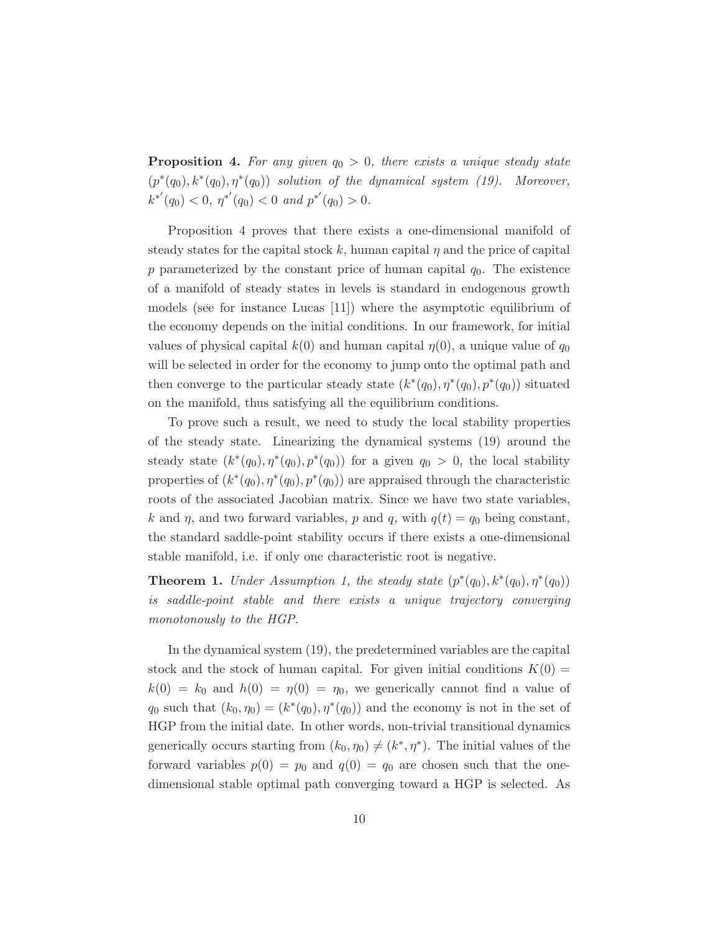**Proposition 4.** For any given  $q_0 > 0$ , there exists a unique steady state  $(p^*(q_0), k^*(q_0), \eta^*(q_0))$  solution of the dynamical system (19). Moreover,  $k^{*'}(q_0) < 0, \eta^{*'}(q_0) < 0 \text{ and } p^{*'}(q_0) > 0.$ 

Proposition 4 proves that there exists a one-dimensional manifold of steady states for the capital stock k, human capital  $\eta$  and the price of capital p parameterized by the constant price of human capital  $q_0$ . The existence of a manifold of steady states in levels is standard in endogenous growth models (see for instance Lucas [11]) where the asymptotic equilibrium of the economy depends on the initial conditions. In our framework, for initial values of physical capital  $k(0)$  and human capital  $\eta(0)$ , a unique value of  $q_0$ will be selected in order for the economy to jump onto the optimal path and then converge to the particular steady state  $(k^*(q_0), \eta^*(q_0), p^*(q_0))$  situated on the manifold, thus satisfying all the equilibrium conditions.

To prove such a result, we need to study the local stability properties of the steady state. Linearizing the dynamical systems (19) around the steady state  $(k^*(q_0), \eta^*(q_0), p^*(q_0))$  for a given  $q_0 > 0$ , the local stability properties of  $(k^*(q_0), \eta^*(q_0), p^*(q_0))$  are appraised through the characteristic roots of the associated Jacobian matrix. Since we have two state variables, k and  $\eta$ , and two forward variables, p and q, with  $q(t) = q_0$  being constant, the standard saddle-point stability occurs if there exists a one-dimensional stable manifold, i.e. if only one characteristic root is negative.

**Theorem 1.** Under Assumption 1, the steady state  $(p^*(q_0), k^*(q_0), \eta^*(q_0))$ is saddle-point stable and there exists a unique trajectory converging monotonously to the HGP.

In the dynamical system (19), the predetermined variables are the capital stock and the stock of human capital. For given initial conditions  $K(0) =$  $k(0) = k_0$  and  $h(0) = \eta(0) = \eta_0$ , we generically cannot find a value of  $q_0$  such that  $(k_0, \eta_0) = (k^*(q_0), \eta^*(q_0))$  and the economy is not in the set of HGP from the initial date. In other words, non-trivial transitional dynamics generically occurs starting from  $(k_0, \eta_0) \neq (k^*, \eta^*)$ . The initial values of the forward variables  $p(0) = p_0$  and  $q(0) = q_0$  are chosen such that the onedimensional stable optimal path converging toward a HGP is selected. As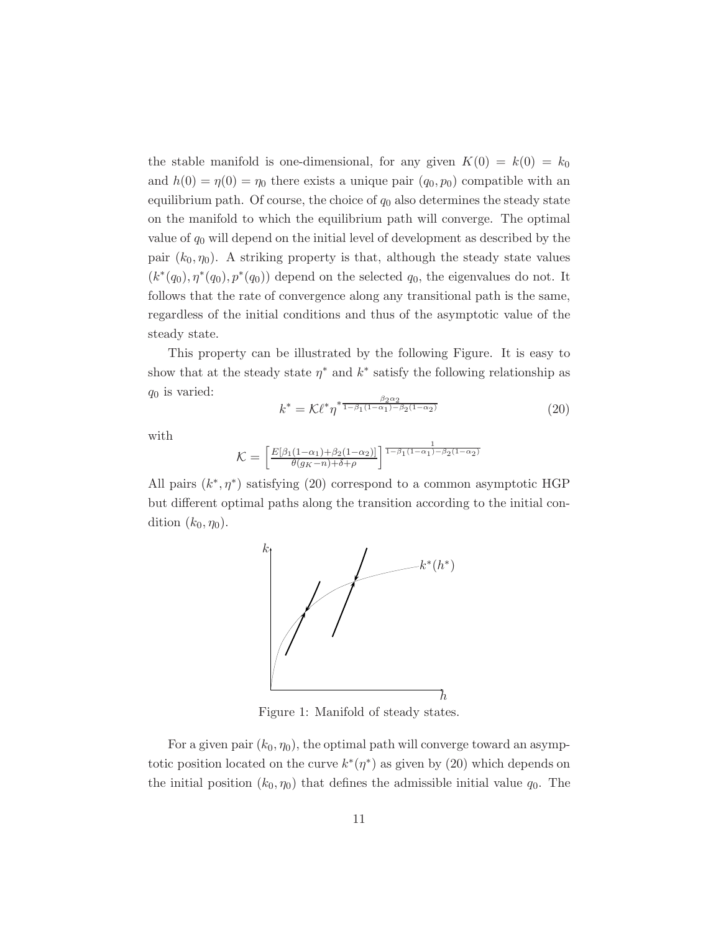the stable manifold is one-dimensional, for any given  $K(0) = k(0) = k_0$ and  $h(0) = \eta(0) = \eta_0$  there exists a unique pair  $(q_0, p_0)$  compatible with an equilibrium path. Of course, the choice of  $q_0$  also determines the steady state on the manifold to which the equilibrium path will converge. The optimal value of  $q_0$  will depend on the initial level of development as described by the pair  $(k_0, \eta_0)$ . A striking property is that, although the steady state values  $(k^*(q_0), \eta^*(q_0), p^*(q_0))$  depend on the selected  $q_0$ , the eigenvalues do not. It follows that the rate of convergence along any transitional path is the same, regardless of the initial conditions and thus of the asymptotic value of the steady state.

This property can be illustrated by the following Figure. It is easy to show that at the steady state  $\eta^*$  and  $k^*$  satisfy the following relationship as  $q_0$  is varied:

$$
k^* = \mathcal{K} \ell^* \eta^{* \frac{\beta_2 \alpha_2}{1 - \beta_1 (1 - \alpha_1) - \beta_2 (1 - \alpha_2)}}\tag{20}
$$

with

$$
\mathcal{K} = \left[ \frac{E[\beta_1(1-\alpha_1)+\beta_2(1-\alpha_2)]}{\theta(g_K-n)+\delta+\rho} \right]^{\frac{1}{1-\beta_1(1-\alpha_1)-\beta_2(1-\alpha_2)}}
$$

All pairs  $(k^*, \eta^*)$  satisfying (20) correspond to a common asymptotic HGP but different optimal paths along the transition according to the initial condition  $(k_0, \eta_0)$ .



Figure 1: Manifold of steady states.

For a given pair  $(k_0, \eta_0)$ , the optimal path will converge toward an asymptotic position located on the curve  $k^*(\eta^*)$  as given by (20) which depends on the initial position  $(k_0, \eta_0)$  that defines the admissible initial value  $q_0$ . The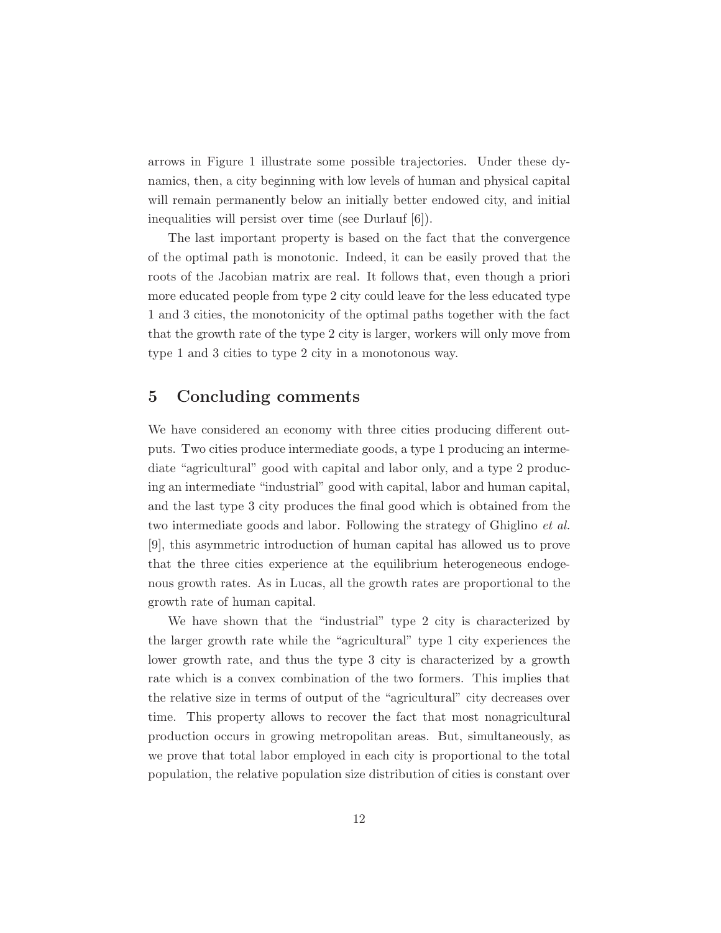arrows in Figure 1 illustrate some possible trajectories. Under these dynamics, then, a city beginning with low levels of human and physical capital will remain permanently below an initially better endowed city, and initial inequalities will persist over time (see Durlauf [6]).

The last important property is based on the fact that the convergence of the optimal path is monotonic. Indeed, it can be easily proved that the roots of the Jacobian matrix are real. It follows that, even though a priori more educated people from type 2 city could leave for the less educated type 1 and 3 cities, the monotonicity of the optimal paths together with the fact that the growth rate of the type 2 city is larger, workers will only move from type 1 and 3 cities to type 2 city in a monotonous way.

#### 5 Concluding comments

We have considered an economy with three cities producing different outputs. Two cities produce intermediate goods, a type 1 producing an intermediate "agricultural" good with capital and labor only, and a type 2 producing an intermediate "industrial" good with capital, labor and human capital, and the last type 3 city produces the final good which is obtained from the two intermediate goods and labor. Following the strategy of Ghiglino *et al.* [9], this asymmetric introduction of human capital has allowed us to prove that the three cities experience at the equilibrium heterogeneous endogenous growth rates. As in Lucas, all the growth rates are proportional to the growth rate of human capital.

We have shown that the "industrial" type 2 city is characterized by the larger growth rate while the "agricultural" type 1 city experiences the lower growth rate, and thus the type 3 city is characterized by a growth rate which is a convex combination of the two formers. This implies that the relative size in terms of output of the "agricultural" city decreases over time. This property allows to recover the fact that most nonagricultural production occurs in growing metropolitan areas. But, simultaneously, as we prove that total labor employed in each city is proportional to the total population, the relative population size distribution of cities is constant over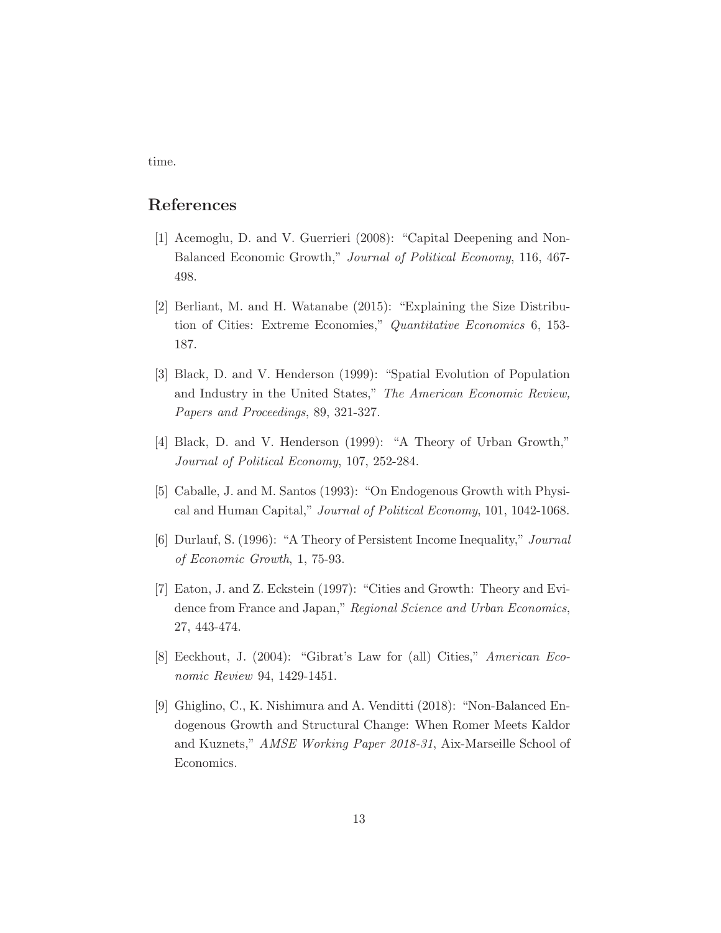time.

#### References

- [1] Acemoglu, D. and V. Guerrieri (2008): "Capital Deepening and Non-Balanced Economic Growth," Journal of Political Economy, 116, 467- 498.
- [2] Berliant, M. and H. Watanabe (2015): "Explaining the Size Distribution of Cities: Extreme Economies," Quantitative Economics 6, 153- 187.
- [3] Black, D. and V. Henderson (1999): "Spatial Evolution of Population and Industry in the United States," The American Economic Review, Papers and Proceedings, 89, 321-327.
- [4] Black, D. and V. Henderson (1999): "A Theory of Urban Growth," Journal of Political Economy, 107, 252-284.
- [5] Caballe, J. and M. Santos (1993): "On Endogenous Growth with Physical and Human Capital," Journal of Political Economy, 101, 1042-1068.
- [6] Durlauf, S. (1996): "A Theory of Persistent Income Inequality," Journal of Economic Growth, 1, 75-93.
- [7] Eaton, J. and Z. Eckstein (1997): "Cities and Growth: Theory and Evidence from France and Japan," Regional Science and Urban Economics, 27, 443-474.
- [8] Eeckhout, J. (2004): "Gibrat's Law for (all) Cities," American Economic Review 94, 1429-1451.
- [9] Ghiglino, C., K. Nishimura and A. Venditti (2018): "Non-Balanced Endogenous Growth and Structural Change: When Romer Meets Kaldor and Kuznets," AMSE Working Paper 2018-31, Aix-Marseille School of Economics.